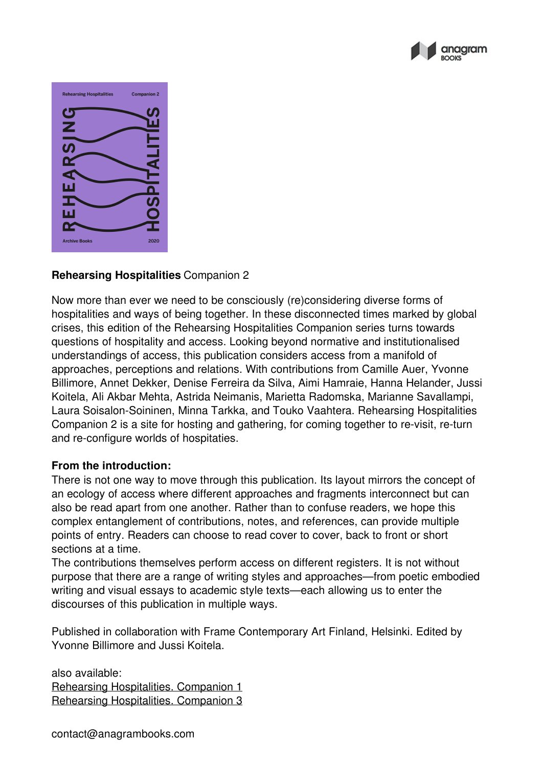



## **Rehearsing Hospitalities** Companion 2

Now more than ever we need to be consciously (re)considering diverse forms of hospitalities and ways of being together. In these disconnected times marked by global crises, this edition of the Rehearsing Hospitalities Companion series turns towards questions of hospitality and access. Looking beyond normative and institutionalised understandings of access, this publication considers access from a manifold of approaches, perceptions and relations. With contributions from Camille Auer, Yvonne Billimore, Annet Dekker, Denise Ferreira da Silva, Aimi Hamraie, Hanna Helander, Jussi Koitela, Ali Akbar Mehta, Astrida Neimanis, Marietta Radomska, Marianne Savallampi, Laura Soisalon-Soininen, Minna Tarkka, and Touko Vaahtera. Rehearsing Hospitalities Companion 2 is a site for hosting and gathering, for coming together to re-visit, re-turn and re-configure worlds of hospitaties.

## **From the introduction:**

There is not one way to move through this publication. Its layout mirrors the concept of an ecology of access where different approaches and fragments interconnect but can also be read apart from one another. Rather than to confuse readers, we hope this complex entanglement of contributions, notes, and references, can provide multiple points of entry. Readers can choose to read cover to cover, back to front or short sections at a time.

The contributions themselves perform access on different registers. It is not without purpose that there are a range of writing styles and approaches—from poetic embodied writing and visual essays to academic style texts—each allowing us to enter the discourses of this publication in multiple ways.

Published in collaboration with Frame Contemporary Art Finland, Helsinki. Edited by Yvonne Billimore and Jussi Koitela.

also available: Rehearsing [Hospitalities.](https://anagrambooks.com/rehearsing-hospitalities) Companion 1 Rehearsing [Hospitalities.](https://anagrambooks.com/rehearsing-hospitalities-0) Companion 3

contact@anagrambooks.com